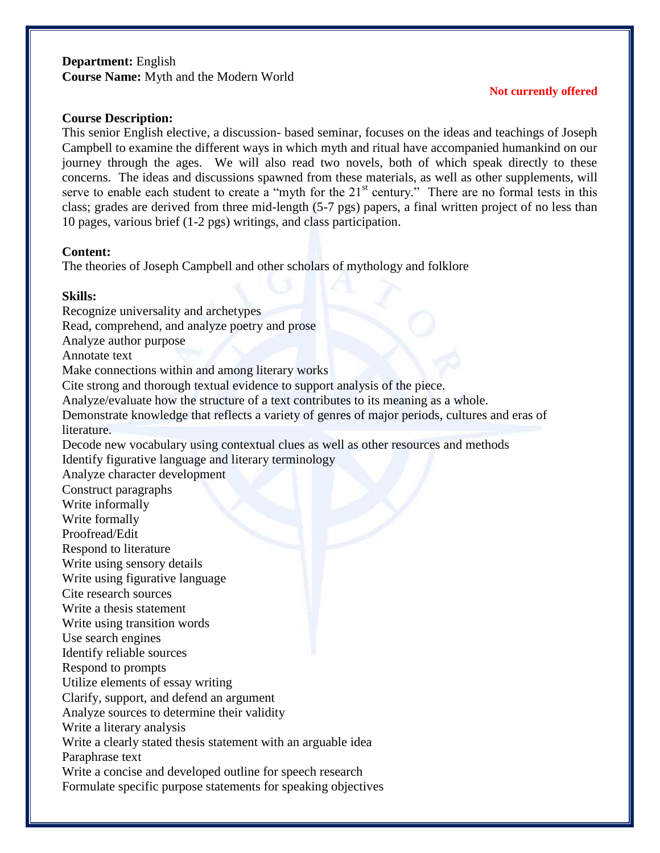# **Department:** English **Course Name:** Myth and the Modern World

### **Not currently offered**

### **Course Description:**

This senior English elective, a discussion- based seminar, focuses on the ideas and teachings of Joseph Campbell to examine the different ways in which myth and ritual have accompanied humankind on our journey through the ages. We will also read two novels, both of which speak directly to these concerns. The ideas and discussions spawned from these materials, as well as other supplements, will serve to enable each student to create a "myth for the  $21<sup>st</sup>$  century." There are no formal tests in this class; grades are derived from three mid-length (5-7 pgs) papers, a final written project of no less than 10 pages, various brief (1-2 pgs) writings, and class participation.

#### **Content:**

The theories of Joseph Campbell and other scholars of mythology and folklore

### **Skills:**

Recognize universality and archetypes

Read, comprehend, and analyze poetry and prose

Analyze author purpose

Annotate text

Make connections within and among literary works

Cite strong and thorough textual evidence to support analysis of the piece.

Analyze/evaluate how the structure of a text contributes to its meaning as a whole.

Demonstrate knowledge that reflects a variety of genres of major periods, cultures and eras of literature.

Decode new vocabulary using contextual clues as well as other resources and methods Identify figurative language and literary terminology

Analyze character development

Construct paragraphs

Write informally

Write formally

Proofread/Edit

Respond to literature

Write using sensory details

Write using figurative language

Cite research sources

Write a thesis statement

Write using transition words

Use search engines

Identify reliable sources

Respond to prompts

Utilize elements of essay writing

Clarify, support, and defend an argument

Analyze sources to determine their validity

Write a literary analysis

Write a clearly stated thesis statement with an arguable idea Paraphrase text

Write a concise and developed outline for speech research

Formulate specific purpose statements for speaking objectives